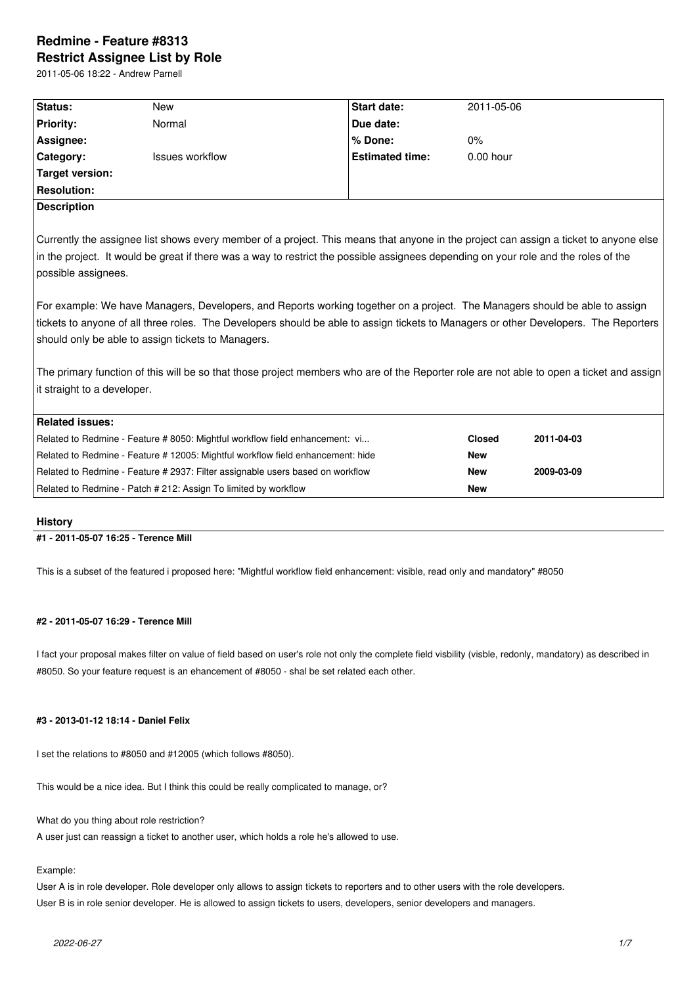# **Redmine - Feature #8313 Restrict Assignee List by Role**

2011-05-06 18:22 - Andrew Parnell

| Status:                                                                                                                                  | <b>New</b>                                                                   | <b>Start date:</b>     | 2011-05-06    |            |
|------------------------------------------------------------------------------------------------------------------------------------------|------------------------------------------------------------------------------|------------------------|---------------|------------|
| <b>Priority:</b>                                                                                                                         | Normal                                                                       | Due date:              |               |            |
| Assignee:                                                                                                                                |                                                                              | % Done:                | $0\%$         |            |
| Category:                                                                                                                                | <b>Issues workflow</b>                                                       | <b>Estimated time:</b> | $0.00$ hour   |            |
| <b>Target version:</b>                                                                                                                   |                                                                              |                        |               |            |
| <b>Resolution:</b>                                                                                                                       |                                                                              |                        |               |            |
| <b>Description</b>                                                                                                                       |                                                                              |                        |               |            |
| Currently the assignee list shows every member of a project. This means that anyone in the project can assign a ticket to anyone else    |                                                                              |                        |               |            |
| in the project. It would be great if there was a way to restrict the possible assignees depending on your role and the roles of the      |                                                                              |                        |               |            |
|                                                                                                                                          |                                                                              |                        |               |            |
| possible assignees.                                                                                                                      |                                                                              |                        |               |            |
|                                                                                                                                          |                                                                              |                        |               |            |
| For example: We have Managers, Developers, and Reports working together on a project. The Managers should be able to assign              |                                                                              |                        |               |            |
| tickets to anyone of all three roles. The Developers should be able to assign tickets to Managers or other Developers. The Reporters     |                                                                              |                        |               |            |
| should only be able to assign tickets to Managers.                                                                                       |                                                                              |                        |               |            |
|                                                                                                                                          |                                                                              |                        |               |            |
| The primary function of this will be so that those project members who are of the Reporter role are not able to open a ticket and assign |                                                                              |                        |               |            |
| it straight to a developer.                                                                                                              |                                                                              |                        |               |            |
|                                                                                                                                          |                                                                              |                        |               |            |
| <b>Related issues:</b>                                                                                                                   |                                                                              |                        |               |            |
|                                                                                                                                          | Related to Redmine - Feature # 8050: Mightful workflow field enhancement: vi |                        | <b>Closed</b> | 2011-04-03 |
| Related to Redmine - Feature # 12005: Mightful workflow field enhancement: hide                                                          |                                                                              |                        | <b>New</b>    |            |
| Related to Redmine - Feature # 2937: Filter assignable users based on workflow                                                           |                                                                              |                        | <b>New</b>    | 2009-03-09 |
| Related to Redmine - Patch # 212: Assign To limited by workflow                                                                          |                                                                              |                        | <b>New</b>    |            |
|                                                                                                                                          |                                                                              |                        |               |            |

## **History**

## **#1 - 2011-05-07 16:25 - Terence Mill**

This is a subset of the featured i proposed here: "Mightful workflow field enhancement: visible, read only and mandatory" #8050

## **#2 - 2011-05-07 16:29 - Terence Mill**

I fact your proposal makes filter on value of field based on user's role not only the complete field visbility (visble, redonly, mandatory) as described in #8050. So your feature request is an ehancement of #8050 - shal be set related each other.

## **#3 - 2013-01-12 18:14 - Daniel Felix**

I set the relations to #8050 and #12005 (which follows #8050).

This would be a nice idea. But I think this could be really complicated to manage, or?

What do you thing about role restriction?

A user just can reassign a ticket to another user, which holds a role he's allowed to use.

## Example:

User A is in role developer. Role developer only allows to assign tickets to reporters and to other users with the role developers. User B is in role senior developer. He is allowed to assign tickets to users, developers, senior developers and managers.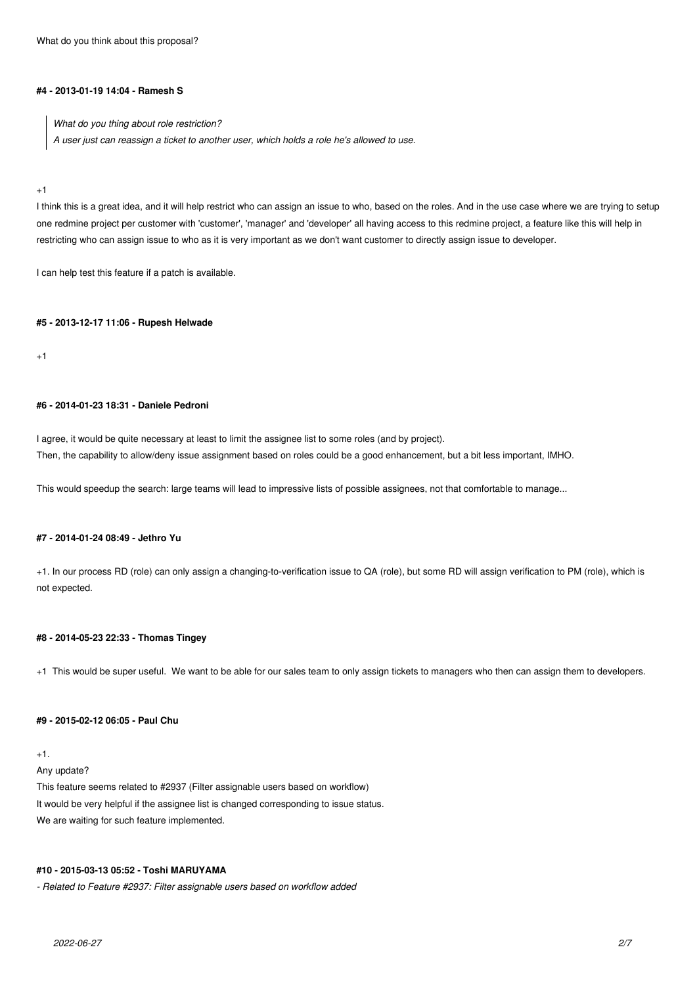What do you think about this proposal?

#### **#4 - 2013-01-19 14:04 - Ramesh S**

*What do you thing about role restriction? A user just can reassign a ticket to another user, which holds a role he's allowed to use.*

## +1

I think this is a great idea, and it will help restrict who can assign an issue to who, based on the roles. And in the use case where we are trying to setup one redmine project per customer with 'customer', 'manager' and 'developer' all having access to this redmine project, a feature like this will help in restricting who can assign issue to who as it is very important as we don't want customer to directly assign issue to developer.

I can help test this feature if a patch is available.

#### **#5 - 2013-12-17 11:06 - Rupesh Helwade**

 $+1$ 

## **#6 - 2014-01-23 18:31 - Daniele Pedroni**

I agree, it would be quite necessary at least to limit the assignee list to some roles (and by project). Then, the capability to allow/deny issue assignment based on roles could be a good enhancement, but a bit less important, IMHO.

This would speedup the search: large teams will lead to impressive lists of possible assignees, not that comfortable to manage...

## **#7 - 2014-01-24 08:49 - Jethro Yu**

+1. In our process RD (role) can only assign a changing-to-verification issue to QA (role), but some RD will assign verification to PM (role), which is not expected.

## **#8 - 2014-05-23 22:33 - Thomas Tingey**

+1 This would be super useful. We want to be able for our sales team to only assign tickets to managers who then can assign them to developers.

## **#9 - 2015-02-12 06:05 - Paul Chu**

 $+1$ .

Any update?

This feature seems related to #2937 (Filter assignable users based on workflow) It would be very helpful if the assignee list is changed corresponding to issue status. We are waiting for such feature implemented.

## **#10 - 2015-03-13 05:52 - Toshi MARUYAMA**

*- Related to Feature #2937: Filter assignable users based on workflow added*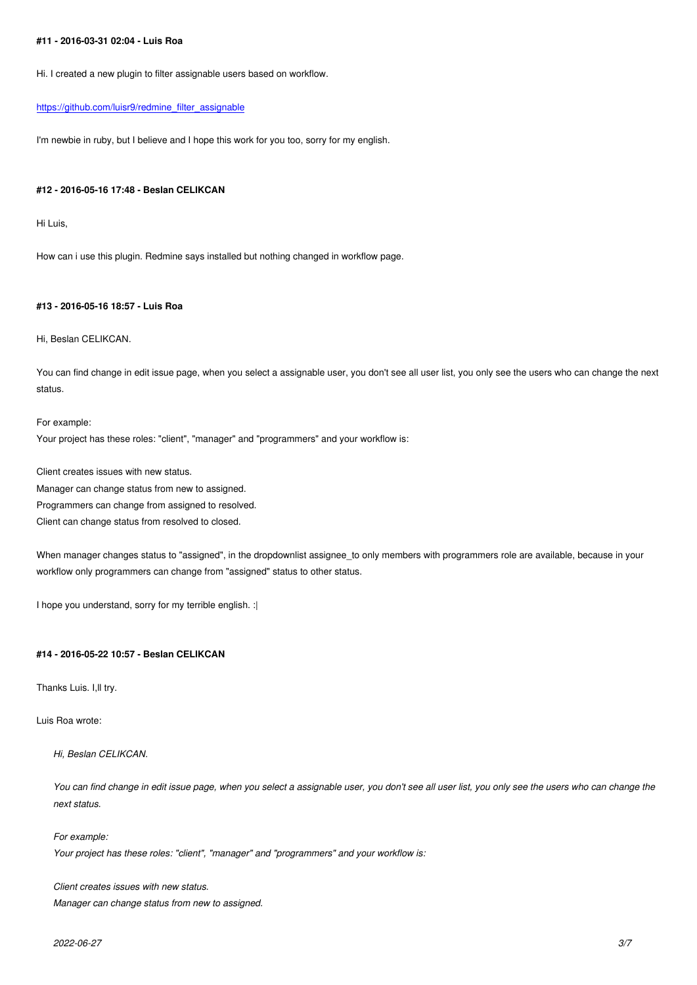Hi. I created a new plugin to filter assignable users based on workflow.

#### https://github.com/luisr9/redmine\_filter\_assignable

I'm newbie in ruby, but I believe and I hope this work for you too, sorry for my english.

#### **#12 - 2016-05-16 17:48 - Beslan CELIKCAN**

Hi Luis,

How can i use this plugin. Redmine says installed but nothing changed in workflow page.

## **#13 - 2016-05-16 18:57 - Luis Roa**

Hi, Beslan CELIKCAN.

You can find change in edit issue page, when you select a assignable user, you don't see all user list, you only see the users who can change the next status.

For example: Your project has these roles: "client", "manager" and "programmers" and your workflow is:

Client creates issues with new status.

Manager can change status from new to assigned.

Programmers can change from assigned to resolved.

Client can change status from resolved to closed.

When manager changes status to "assigned", in the dropdownlist assignee\_to only members with programmers role are available, because in your workflow only programmers can change from "assigned" status to other status.

I hope you understand, sorry for my terrible english. :|

#### **#14 - 2016-05-22 10:57 - Beslan CELIKCAN**

Thanks Luis. I,ll try.

Luis Roa wrote:

*Hi, Beslan CELIKCAN.*

*You can find change in edit issue page, when you select a assignable user, you don't see all user list, you only see the users who can change the next status.*

*For example: Your project has these roles: "client", "manager" and "programmers" and your workflow is:*

*Client creates issues with new status. Manager can change status from new to assigned.*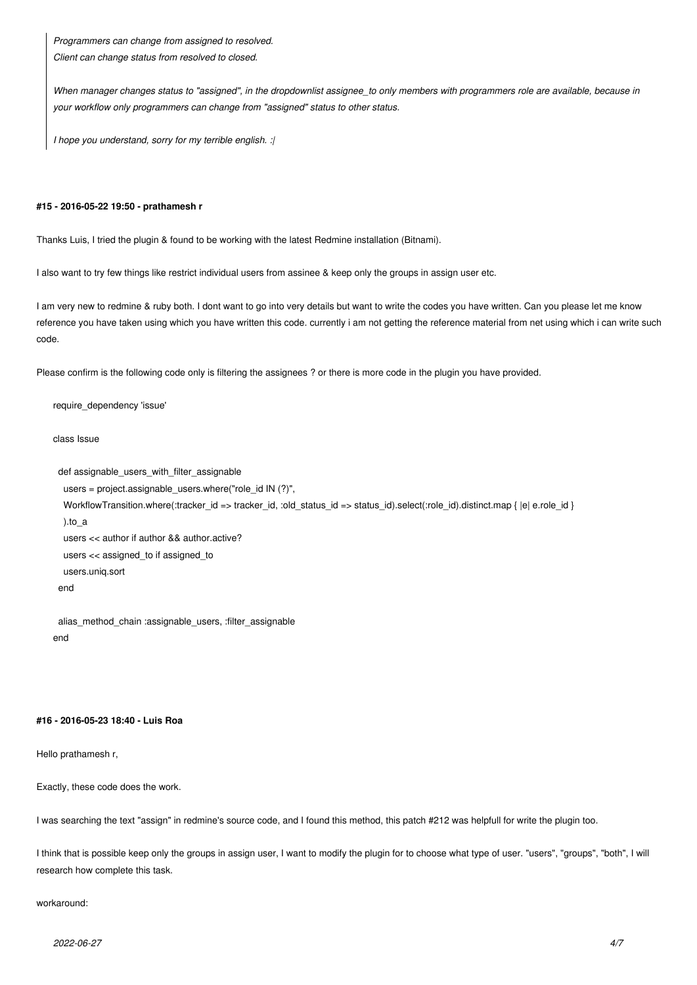*Programmers can change from assigned to resolved. Client can change status from resolved to closed.*

*When manager changes status to "assigned", in the dropdownlist assignee\_to only members with programmers role are available, because in your workflow only programmers can change from "assigned" status to other status.*

*I hope you understand, sorry for my terrible english. :|*

#### **#15 - 2016-05-22 19:50 - prathamesh r**

Thanks Luis, I tried the plugin & found to be working with the latest Redmine installation (Bitnami).

I also want to try few things like restrict individual users from assinee & keep only the groups in assign user etc.

I am very new to redmine & ruby both. I dont want to go into very details but want to write the codes you have written. Can you please let me know reference you have taken using which you have written this code. currently i am not getting the reference material from net using which i can write such code.

Please confirm is the following code only is filtering the assignees ? or there is more code in the plugin you have provided.

require\_dependency 'issue'

class Issue

```
 def assignable_users_with_filter_assignable
```

```
 users = project.assignable_users.where("role_id IN (?)",
 WorkflowTransition.where(:tracker_id => tracker_id, :old_status_id => status_id).select(:role_id).distinct.map { |e| e.role_id }
  ).to_a
  users << author if author && author.active?
  users << assigned_to if assigned_to
  users.uniq.sort
 end
```
 alias\_method\_chain :assignable\_users, :filter\_assignable end

#### **#16 - 2016-05-23 18:40 - Luis Roa**

Hello prathamesh r,

Exactly, these code does the work.

I was searching the text "assign" in redmine's source code, and I found this method, this patch #212 was helpfull for write the plugin too.

I think that is possible keep only the groups in assign user, I want to modify the plugin for to choose what type of user. "users", "groups", "both", I will research how complete this task.

## workaround: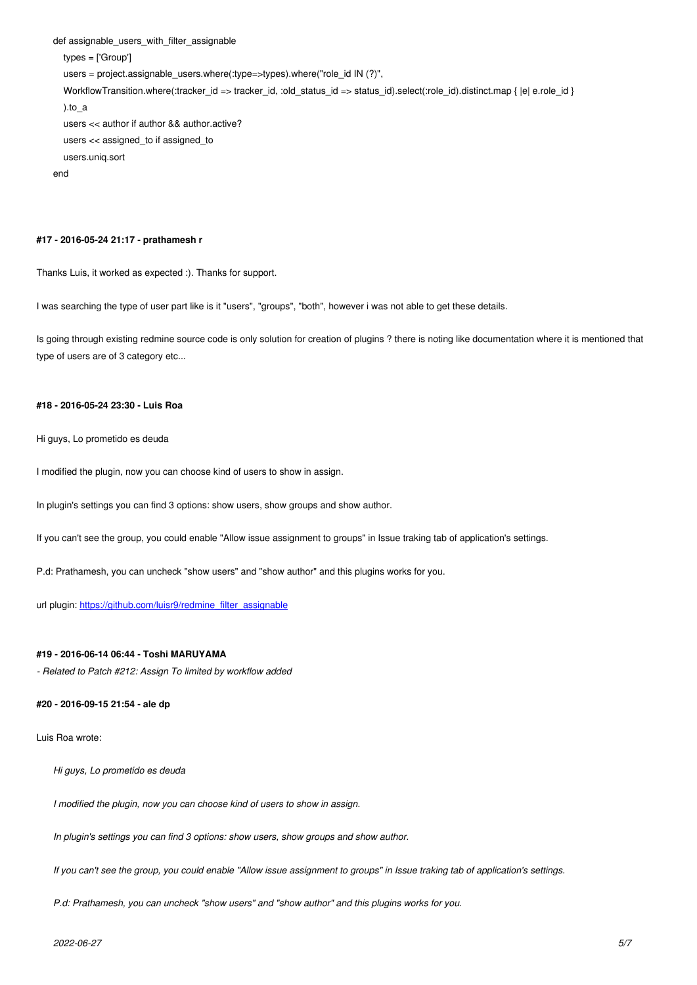```
 types = ['Group'] 
   users = project.assignable_users.where(:type=>types).where("role_id IN (?)",
   WorkflowTransition.where(:tracker_id => tracker_id, :old_status_id => status_id).select(:role_id).distinct.map { |e| e.role_id }
   ).to_a
   users << author if author && author.active?
   users << assigned_to if assigned_to
   users.uniq.sort
end
```
#### **#17 - 2016-05-24 21:17 - prathamesh r**

Thanks Luis, it worked as expected :). Thanks for support.

I was searching the type of user part like is it "users", "groups", "both", however i was not able to get these details.

Is going through existing redmine source code is only solution for creation of plugins ? there is noting like documentation where it is mentioned that type of users are of 3 category etc...

## **#18 - 2016-05-24 23:30 - Luis Roa**

Hi guys, Lo prometido es deuda

I modified the plugin, now you can choose kind of users to show in assign.

In plugin's settings you can find 3 options: show users, show groups and show author.

If you can't see the group, you could enable "Allow issue assignment to groups" in Issue traking tab of application's settings.

P.d: Prathamesh, you can uncheck "show users" and "show author" and this plugins works for you.

url plugin: https://github.com/luisr9/redmine\_filter\_assignable

#### **#19 - 201[6-06-14 06:44 - Toshi MARUYAMA](https://github.com/luisr9/redmine_filter_assignable)**

*- Related to Patch #212: Assign To limited by workflow added*

#### **#20 - 2016-09-15 21:54 - ale dp**

Luis Roa wrote:

*Hi guys, Lo prometido es deuda*

*I modified the plugin, now you can choose kind of users to show in assign.*

*In plugin's settings you can find 3 options: show users, show groups and show author.*

*If you can't see the group, you could enable "Allow issue assignment to groups" in Issue traking tab of application's settings.*

*P.d: Prathamesh, you can uncheck "show users" and "show author" and this plugins works for you.*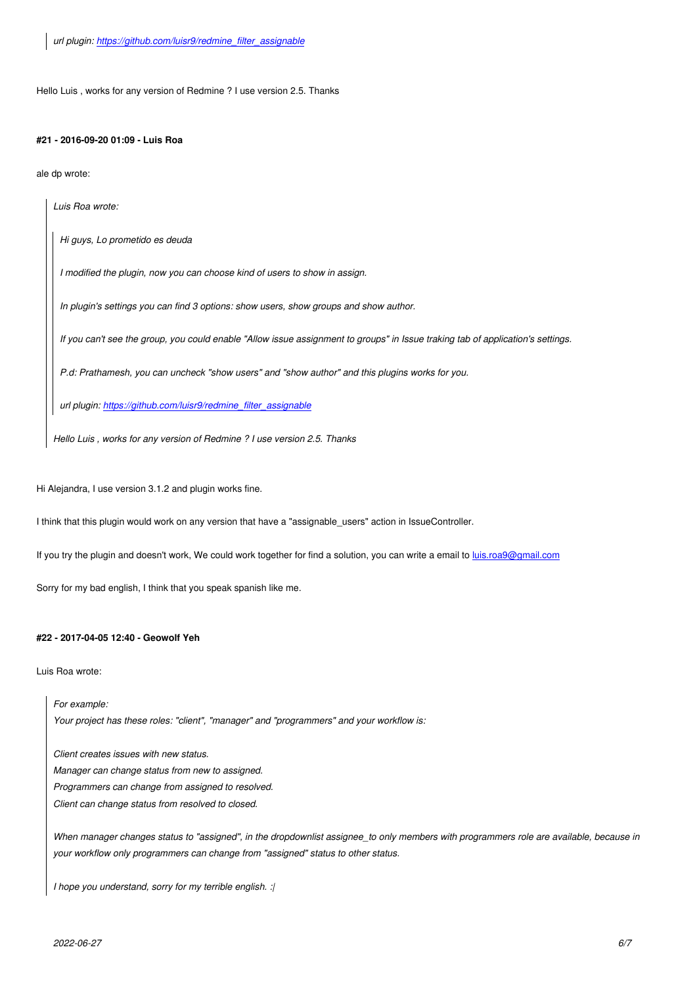## **#21 - 2016-09-20 01:09 - Luis Roa**

ale dp wrote:

*Luis Roa wrote:*

*Hi guys, Lo prometido es deuda*

*I modified the plugin, now you can choose kind of users to show in assign.*

*In plugin's settings you can find 3 options: show users, show groups and show author.*

*If you can't see the group, you could enable "Allow issue assignment to groups" in Issue traking tab of application's settings.*

*P.d: Prathamesh, you can uncheck "show users" and "show author" and this plugins works for you.*

*url plugin: https://github.com/luisr9/redmine\_filter\_assignable*

*Hello Luis , works for any version of Redmine ? I use version 2.5. Thanks*

Hi Alejandra, I use version 3.1.2 and plugin works fine.

I think that this plugin would work on any version that have a "assignable\_users" action in IssueController.

If you try the plugin and doesn't work, We could work together for find a solution, you can write a email to *luis.roa9@gmail.com* 

Sorry for my bad english, I think that you speak spanish like me.

## **#22 - 2017-04-05 12:40 - Geowolf Yeh**

Luis Roa wrote:

*For example: Your project has these roles: "client", "manager" and "programmers" and your workflow is:*

*Client creates issues with new status. Manager can change status from new to assigned. Programmers can change from assigned to resolved. Client can change status from resolved to closed.*

*When manager changes status to "assigned", in the dropdownlist assignee\_to only members with programmers role are available, because in your workflow only programmers can change from "assigned" status to other status.*

*I hope you understand, sorry for my terrible english. :|*